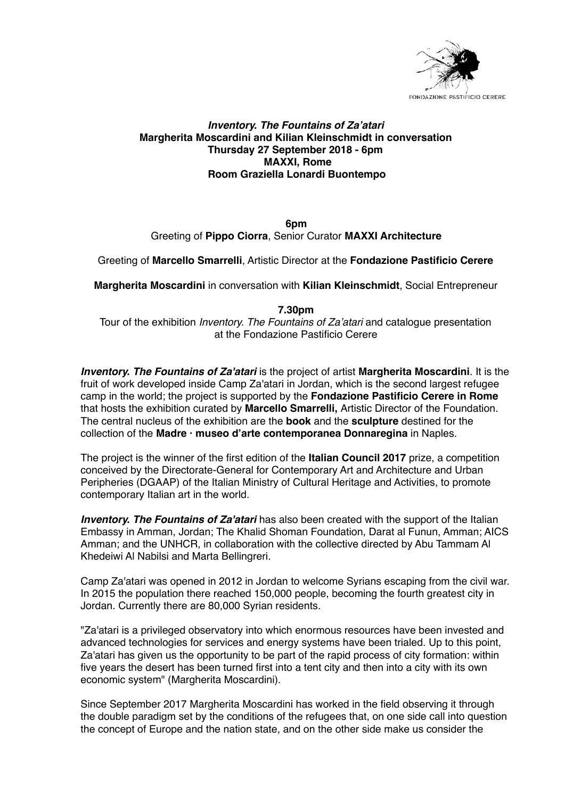

## *Inventory. The Fountains of Za'atari* **Margherita Moscardini and Kilian Kleinschmidt in conversation Thursday 27 September 2018 - 6pm MAXXI, Rome Room Graziella Lonardi Buontempo**

**6pm** Greeting of **Pippo Ciorra**, Senior Curator **MAXXI Architecture**

Greeting of **Marcello Smarrelli**, Artistic Director at the **Fondazione Pastificio Cerere**

**Margherita Moscardini** in conversation with **Kilian Kleinschmidt**, Social Entrepreneur

#### **7.30pm**

Tour of the exhibition *Inventory. The Fountains of Za'atari* and catalogue presentation at the Fondazione Pastificio Cerere

*Inventory. The Fountains of Za'atari* is the project of artist **Margherita Moscardini**. It is the fruit of work developed inside Camp Za'atari in Jordan, which is the second largest refugee camp in the world; the project is supported by the **Fondazione Pastificio Cerere in Rome** that hosts the exhibition curated by **Marcello Smarrelli,** Artistic Director of the Foundation. The central nucleus of the exhibition are the **book** and the **sculpture** destined for the collection of the **Madre · museo d'arte contemporanea Donnaregina** in Naples.

The project is the winner of the first edition of the **Italian Council 2017** prize, a competition conceived by the Directorate-General for Contemporary Art and Architecture and Urban Peripheries (DGAAP) of the Italian Ministry of Cultural Heritage and Activities, to promote contemporary Italian art in the world.

*Inventory. The Fountains of Za'atari* has also been created with the support of the Italian Embassy in Amman, Jordan; The Khalid Shoman Foundation, Darat al Funun, Amman; AICS Amman; and the UNHCR, in collaboration with the collective directed by Abu Tammam Al Khedeiwi Al Nabilsi and Marta Bellingreri.

Camp Za'atari was opened in 2012 in Jordan to welcome Syrians escaping from the civil war. In 2015 the population there reached 150,000 people, becoming the fourth greatest city in Jordan. Currently there are 80,000 Syrian residents.

"Za'atari is a privileged observatory into which enormous resources have been invested and advanced technologies for services and energy systems have been trialed. Up to this point, Za'atari has given us the opportunity to be part of the rapid process of city formation: within five years the desert has been turned first into a tent city and then into a city with its own economic system" (Margherita Moscardini).

Since September 2017 Margherita Moscardini has worked in the field observing it through the double paradigm set by the conditions of the refugees that, on one side call into question the concept of Europe and the nation state, and on the other side make us consider the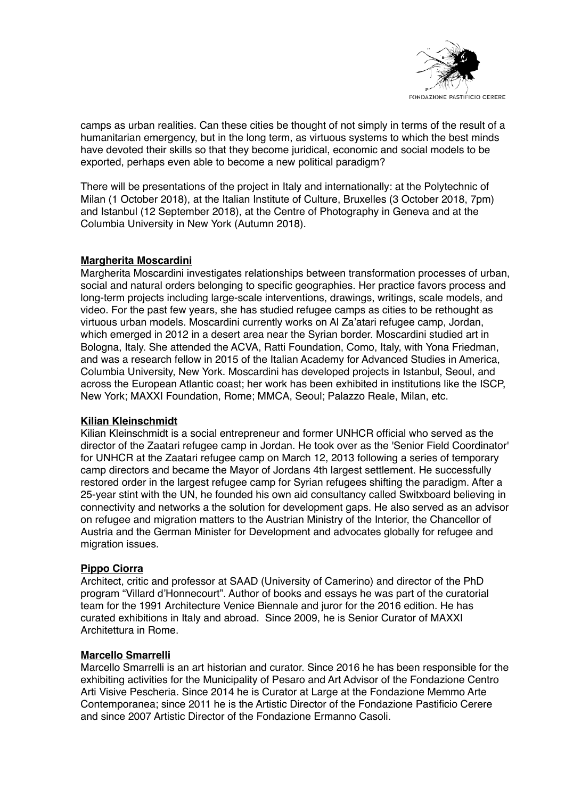

camps as urban realities. Can these cities be thought of not simply in terms of the result of a humanitarian emergency, but in the long term, as virtuous systems to which the best minds have devoted their skills so that they become juridical, economic and social models to be exported, perhaps even able to become a new political paradigm?

There will be presentations of the project in Italy and internationally: at the Polytechnic of Milan (1 October 2018), at the Italian Institute of Culture, Bruxelles (3 October 2018, 7pm) and Istanbul (12 September 2018), at the Centre of Photography in Geneva and at the Columbia University in New York (Autumn 2018).

### **Margherita Moscardini**

Margherita Moscardini investigates relationships between transformation processes of urban, social and natural orders belonging to specific geographies. Her practice favors process and long-term projects including large-scale interventions, drawings, writings, scale models, and video. For the past few years, she has studied refugee camps as cities to be rethought as virtuous urban models. Moscardini currently works on Al Za'atari refugee camp, Jordan, which emerged in 2012 in a desert area near the Syrian border. Moscardini studied art in Bologna, Italy. She attended the ACVA, Ratti Foundation, Como, Italy, with Yona Friedman, and was a research fellow in 2015 of the Italian Academy for Advanced Studies in America, Columbia University, New York. Moscardini has developed projects in Istanbul, Seoul, and across the European Atlantic coast; her work has been exhibited in institutions like the ISCP, New York; MAXXI Foundation, Rome; MMCA, Seoul; Palazzo Reale, Milan, etc.

### **Kilian Kleinschmidt**

Kilian Kleinschmidt is a social entrepreneur and former UNHCR official who served as the director of the Zaatari refugee camp in Jordan. He took over as the 'Senior Field Coordinator' for UNHCR at the Zaatari refugee camp on March 12, 2013 following a series of temporary camp directors and became the Mayor of Jordans 4th largest settlement. He successfully restored order in the largest refugee camp for Syrian refugees shifting the paradigm. After a 25-year stint with the UN, he founded his own aid consultancy called Switxboard believing in connectivity and networks a the solution for development gaps. He also served as an advisor on refugee and migration matters to the Austrian Ministry of the Interior, the Chancellor of Austria and the German Minister for Development and advocates globally for refugee and migration issues.

### **Pippo Ciorra**

Architect, critic and professor at SAAD (University of Camerino) and director of the PhD program "Villard d'Honnecourt". Author of books and essays he was part of the curatorial team for the 1991 Architecture Venice Biennale and juror for the 2016 edition. He has curated exhibitions in Italy and abroad. Since 2009, he is Senior Curator of MAXXI Architettura in Rome.

### **Marcello Smarrelli**

Marcello Smarrelli is an art historian and curator. Since 2016 he has been responsible for the exhibiting activities for the Municipality of Pesaro and Art Advisor of the Fondazione Centro Arti Visive Pescheria. Since 2014 he is Curator at Large at the Fondazione Memmo Arte Contemporanea; since 2011 he is the Artistic Director of the Fondazione Pastificio Cerere and since 2007 Artistic Director of the Fondazione Ermanno Casoli.